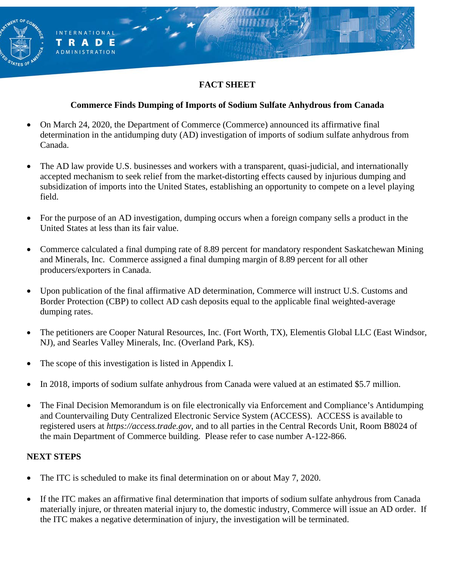# **FACT SHEET**

## **Commerce Finds Dumping of Imports of Sodium Sulfate Anhydrous from Canada**

- On March 24, 2020, the Department of Commerce (Commerce) announced its affirmative final determination in the antidumping duty (AD) investigation of imports of sodium sulfate anhydrous from Canada.
- The AD law provide U.S. businesses and workers with a transparent, quasi-judicial, and internationally accepted mechanism to seek relief from the market-distorting effects caused by injurious dumping and subsidization of imports into the United States, establishing an opportunity to compete on a level playing field.
- For the purpose of an AD investigation, dumping occurs when a foreign company sells a product in the United States at less than its fair value.
- Commerce calculated a final dumping rate of 8.89 percent for mandatory respondent Saskatchewan Mining and Minerals, Inc. Commerce assigned a final dumping margin of 8.89 percent for all other producers/exporters in Canada.
- Upon publication of the final affirmative AD determination, Commerce will instruct U.S. Customs and Border Protection (CBP) to collect AD cash deposits equal to the applicable final weighted-average dumping rates.
- The petitioners are Cooper Natural Resources, Inc. (Fort Worth, TX), Elementis Global LLC (East Windsor, NJ), and Searles Valley Minerals, Inc. (Overland Park, KS).
- The scope of this investigation is listed in Appendix I.

**INTERNATIONAL** 

**RADE ADMINISTRATION** 

т

- In 2018, imports of sodium sulfate anhydrous from Canada were valued at an estimated \$5.7 million.
- The Final Decision Memorandum is on file electronically via Enforcement and Compliance's Antidumping and Countervailing Duty Centralized Electronic Service System (ACCESS). ACCESS is available to registered users at *https://access.trade.gov*, and to all parties in the Central Records Unit, Room B8024 of the main Department of Commerce building. Please refer to case number A-122-866.

### **NEXT STEPS**

- The ITC is scheduled to make its final determination on or about May 7, 2020.
- If the ITC makes an affirmative final determination that imports of sodium sulfate anhydrous from Canada materially injure, or threaten material injury to, the domestic industry, Commerce will issue an AD order. If the ITC makes a negative determination of injury, the investigation will be terminated.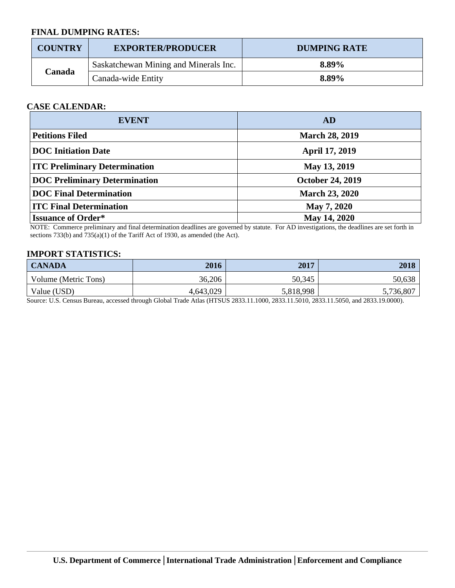### **FINAL DUMPING RATES:**

| <b>COUNTRY</b> | <b>EXPORTER/PRODUCER</b>              | <b>DUMPING RATE</b> |  |
|----------------|---------------------------------------|---------------------|--|
| Canada         | Saskatchewan Mining and Minerals Inc. | 8.89%               |  |
|                | Canada-wide Entity                    | 8.89%               |  |

#### **CASE CALENDAR:**

| <b>EVENT</b>                         | <b>AD</b>               |  |
|--------------------------------------|-------------------------|--|
| <b>Petitions Filed</b>               | <b>March 28, 2019</b>   |  |
| <b>DOC</b> Initiation Date           | <b>April 17, 2019</b>   |  |
| <b>ITC Preliminary Determination</b> | May 13, 2019            |  |
| <b>DOC Preliminary Determination</b> | <b>October 24, 2019</b> |  |
| <b>DOC Final Determination</b>       | <b>March 23, 2020</b>   |  |
| <b>ITC Final Determination</b>       | May 7, 2020             |  |
| <b>Issuance of Order*</b>            | May 14, 2020            |  |

NOTE: Commerce preliminary and final determination deadlines are governed by statute. For AD investigations, the deadlines are set forth in sections 733(b) and 735(a)(1) of the Tariff Act of 1930, as amended (the Act).

### **IMPORT STATISTICS:**

| <b>CANADA</b>        | 2016      | 2017      | 2018      |
|----------------------|-----------|-----------|-----------|
| Volume (Metric Tons) | 36,206    | 50,345    | 50,638    |
| Value (USD)          | 4,643,029 | 5,818,998 | 5,736,807 |

Source: U.S. Census Bureau, accessed through Global Trade Atlas (HTSUS 2833.11.1000, 2833.11.5010, 2833.11.5050, and 2833.19.0000).